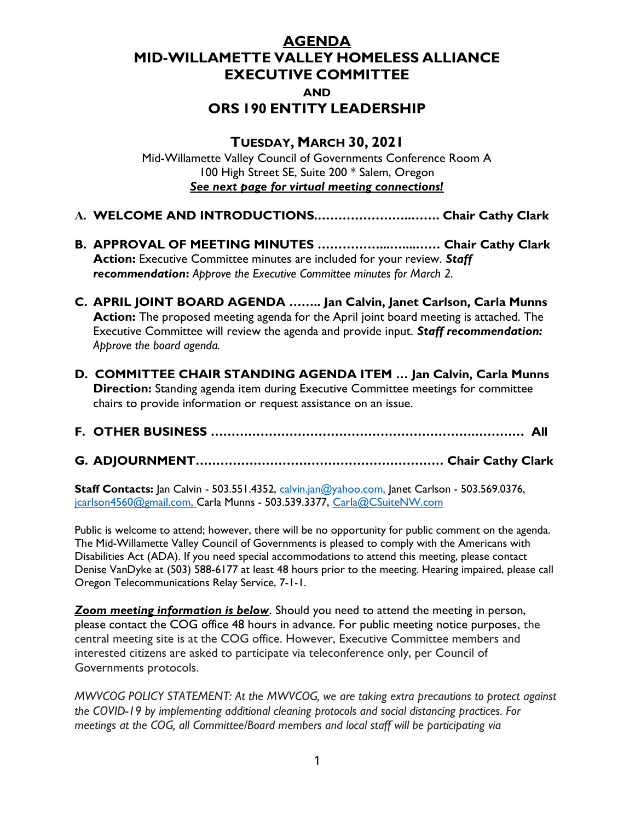## AGENDA MID-WILLAMETTE VALLEY HOMELESS ALLIANCE EXECUTIVE COMMITTEE AND ORS 190 ENTITY LEADERSHIP

## TUESDAY, MARCH 30, 2021

Mid-Willamette Valley Council of Governments Conference Room A 100 High Street SE, Suite 200 \* Salem, Oregon See next page for virtual meeting connections!

- A. WELCOME AND INTRODUCTIONS.…………………..……. Chair Cathy Clark
- B. APPROVAL OF MEETING MINUTES ……………...…....…… Chair Cathy Clark Action: Executive Committee minutes are included for your review. Staff recommendation: Approve the Executive Committee minutes for March 2.
- C. APRIL JOINT BOARD AGENDA …….. Jan Calvin, Janet Carlson, Carla Munns Action: The proposed meeting agenda for the April joint board meeting is attached. The Executive Committee will review the agenda and provide input. Staff recommendation: Approve the board agenda.
- D. COMMITTEE CHAIR STANDING AGENDA ITEM … Jan Calvin, Carla Munns **Direction:** Standing agenda item during Executive Committee meetings for committee chairs to provide information or request assistance on an issue.
- F. OTHER BUSINESS ……………………………………………………….………… All
- G. ADJOURNMENT…………………………………………………… Chair Cathy Clark

Staff Contacts: Jan Calvin - 503.551.4352, calvin.jan@yahoo.com, Janet Carlson - 503.569.0376, jcarlson4560@gmail.com, Carla Munns - 503.539.3377, Carla@CSuiteNW.com

Public is welcome to attend; however, there will be no opportunity for public comment on the agenda. The Mid-Willamette Valley Council of Governments is pleased to comply with the Americans with Disabilities Act (ADA). If you need special accommodations to attend this meeting, please contact Denise VanDyke at (503) 588-6177 at least 48 hours prior to the meeting. Hearing impaired, please call Oregon Telecommunications Relay Service, 7-1-1.

Zoom meeting information is below. Should you need to attend the meeting in person, please contact the COG office 48 hours in advance. For public meeting notice purposes, the central meeting site is at the COG office. However, Executive Committee members and interested citizens are asked to participate via teleconference only, per Council of Governments protocols.

MWVCOG POLICY STATEMENT: At the MWVCOG, we are taking extra precautions to protect against the COVID-19 by implementing additional cleaning protocols and social distancing practices. For meetings at the COG, all Committee/Board members and local staff will be participating via